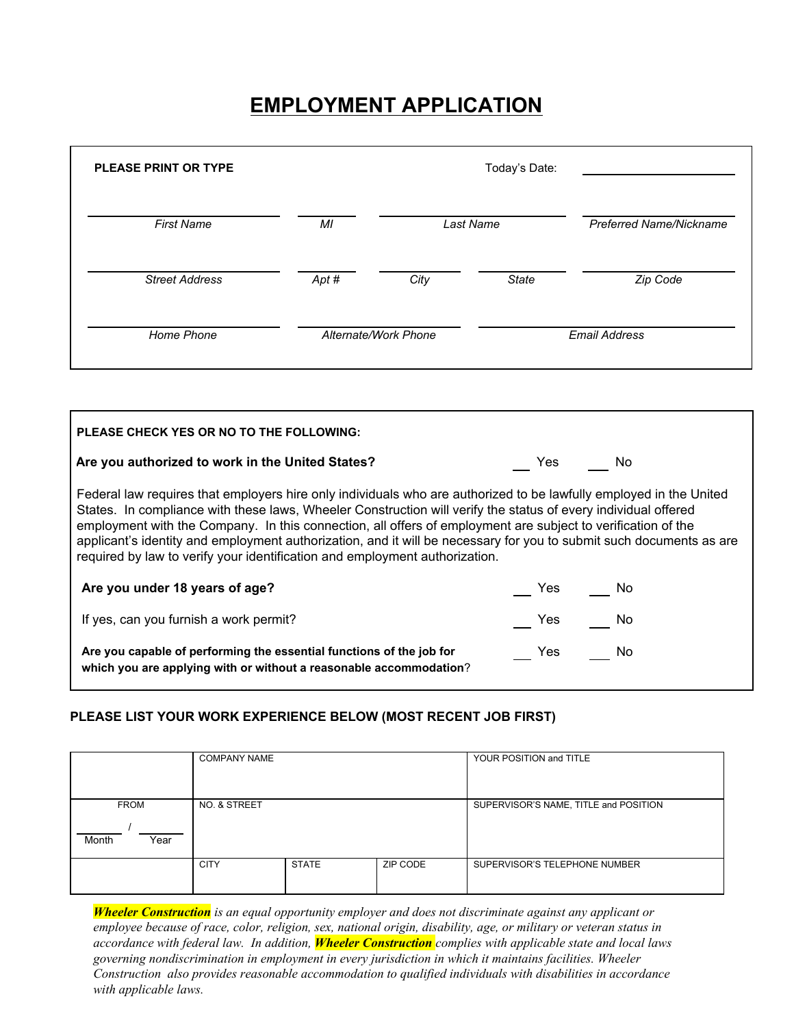# **EMPLOYMENT APPLICATION**

| <b>PLEASE PRINT OR TYPE</b> | Today's Date: |                      |              |                                |
|-----------------------------|---------------|----------------------|--------------|--------------------------------|
| <b>First Name</b>           | MI            |                      | Last Name    | <b>Preferred Name/Nickname</b> |
| <b>Street Address</b>       | Apt#          | City                 | <b>State</b> | Zip Code                       |
| Home Phone                  |               | Alternate/Work Phone |              | <b>Email Address</b>           |

| PLEASE CHECK YES OR NO TO THE FOLLOWING:                                                                                                                                                                                                                                                                                                                                                                                                                                                                                                                   |            |  |  |  |  |  |  |
|------------------------------------------------------------------------------------------------------------------------------------------------------------------------------------------------------------------------------------------------------------------------------------------------------------------------------------------------------------------------------------------------------------------------------------------------------------------------------------------------------------------------------------------------------------|------------|--|--|--|--|--|--|
| Are you authorized to work in the United States?<br>No.<br>Yes                                                                                                                                                                                                                                                                                                                                                                                                                                                                                             |            |  |  |  |  |  |  |
| Federal law requires that employers hire only individuals who are authorized to be lawfully employed in the United<br>States. In compliance with these laws, Wheeler Construction will verify the status of every individual offered<br>employment with the Company. In this connection, all offers of employment are subject to verification of the<br>applicant's identity and employment authorization, and it will be necessary for you to submit such documents as are<br>required by law to verify your identification and employment authorization. |            |  |  |  |  |  |  |
| Are you under 18 years of age?                                                                                                                                                                                                                                                                                                                                                                                                                                                                                                                             | Yes<br>No  |  |  |  |  |  |  |
| If yes, can you furnish a work permit?                                                                                                                                                                                                                                                                                                                                                                                                                                                                                                                     | Yes<br>No. |  |  |  |  |  |  |
| Are you capable of performing the essential functions of the job for<br>which you are applying with or without a reasonable accommodation?                                                                                                                                                                                                                                                                                                                                                                                                                 | Yes<br>No. |  |  |  |  |  |  |

### **PLEASE LIST YOUR WORK EXPERIENCE BELOW (MOST RECENT JOB FIRST)**

|                              | <b>COMPANY NAME</b> |              |          | YOUR POSITION and TITLE               |
|------------------------------|---------------------|--------------|----------|---------------------------------------|
| <b>FROM</b><br>Month<br>Year | NO. & STREET        |              |          | SUPERVISOR'S NAME, TITLE and POSITION |
|                              | <b>CITY</b>         | <b>STATE</b> | ZIP CODE | SUPERVISOR'S TELEPHONE NUMBER         |

*Wheeler Construction is an equal opportunity employer and does not discriminate against any applicant or* employee because of race, color, religion, sex, national origin, disability, age, or military or veteran status in *accordance with federal law. In addition, Wheeler Construction complies with applicable state and local laws governing nondiscrimination in employment in every jurisdiction in which it maintains facilities. Wheeler Construction also provides reasonable accommodation to qualified individuals with disabilities in accordance with applicable laws.*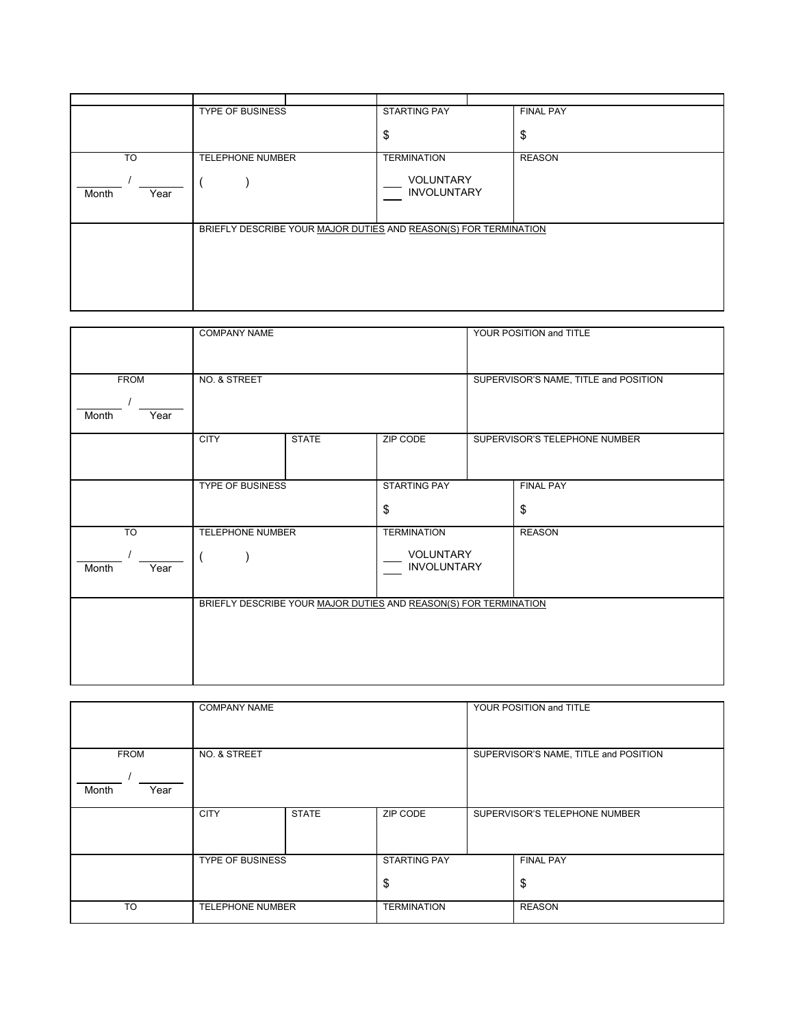|               | <b>TYPE OF BUSINESS</b> |  | <b>STARTING PAY</b>                                              |  | <b>FINAL PAY</b> |
|---------------|-------------------------|--|------------------------------------------------------------------|--|------------------|
|               |                         |  | \$                                                               |  | \$               |
| <b>TO</b>     | <b>TELEPHONE NUMBER</b> |  | <b>TERMINATION</b>                                               |  | <b>REASON</b>    |
| Month<br>Year |                         |  | <b>VOLUNTARY</b><br><b>INVOLUNTARY</b>                           |  |                  |
|               |                         |  | BRIEFLY DESCRIBE YOUR MAJOR DUTIES AND REASON(S) FOR TERMINATION |  |                  |

|               | <b>COMPANY NAME</b>                     |                                                                  |                                 |  | YOUR POSITION and TITLE               |
|---------------|-----------------------------------------|------------------------------------------------------------------|---------------------------------|--|---------------------------------------|
|               |                                         |                                                                  |                                 |  |                                       |
| <b>FROM</b>   | NO. & STREET                            |                                                                  |                                 |  | SUPERVISOR'S NAME, TITLE and POSITION |
| Year<br>Month |                                         |                                                                  |                                 |  |                                       |
|               | <b>CITY</b><br><b>STATE</b><br>ZIP CODE |                                                                  | SUPERVISOR'S TELEPHONE NUMBER   |  |                                       |
|               | TYPE OF BUSINESS<br>STARTING PAY        |                                                                  |                                 |  | FINAL PAY                             |
|               |                                         |                                                                  | \$                              |  | \$                                    |
| <b>TO</b>     | TELEPHONE NUMBER                        |                                                                  | <b>TERMINATION</b>              |  | <b>REASON</b>                         |
| Month<br>Year |                                         |                                                                  | VOLUNTARY<br><b>INVOLUNTARY</b> |  |                                       |
|               |                                         | BRIEFLY DESCRIBE YOUR MAJOR DUTIES AND REASON(S) FOR TERMINATION |                                 |  |                                       |

|                              | <b>COMPANY NAME</b>     |              |                           |  | YOUR POSITION and TITLE               |
|------------------------------|-------------------------|--------------|---------------------------|--|---------------------------------------|
| <b>FROM</b><br>Month<br>Year | <b>NO. &amp; STREET</b> |              |                           |  | SUPERVISOR'S NAME, TITLE and POSITION |
|                              | <b>CITY</b>             | <b>STATE</b> | ZIP CODE                  |  | SUPERVISOR'S TELEPHONE NUMBER         |
|                              | <b>TYPE OF BUSINESS</b> |              | <b>STARTING PAY</b><br>\$ |  | <b>FINAL PAY</b><br>\$                |
| <b>TO</b>                    | <b>TELEPHONE NUMBER</b> |              | <b>TERMINATION</b>        |  | <b>REASON</b>                         |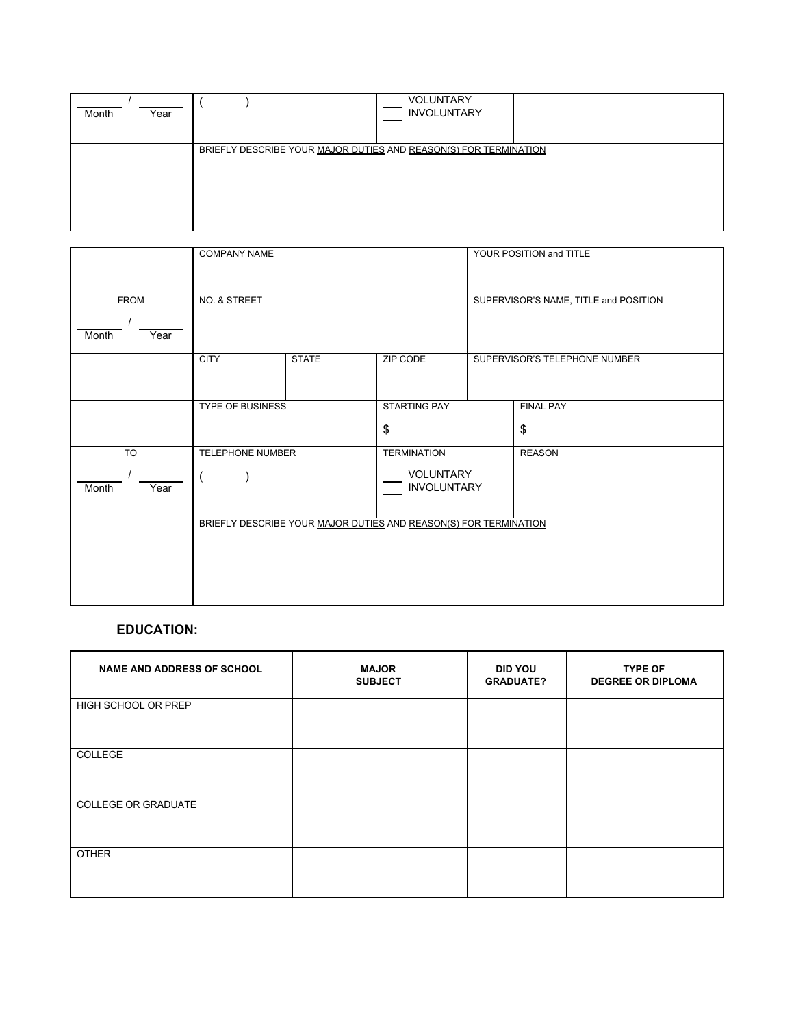| Month | <b>VOLUNTARY</b>                                                 |
|-------|------------------------------------------------------------------|
| Year  | <b>INVOLUNTARY</b>                                               |
|       | BRIEFLY DESCRIBE YOUR MAJOR DUTIES AND REASON(S) FOR TERMINATION |

|                 | <b>COMPANY NAME</b>                     |                                                                  |                               |  | YOUR POSITION and TITLE               |
|-----------------|-----------------------------------------|------------------------------------------------------------------|-------------------------------|--|---------------------------------------|
| <b>FROM</b>     | NO. & STREET                            |                                                                  |                               |  | SUPERVISOR'S NAME, TITLE and POSITION |
| Month<br>Year   |                                         |                                                                  |                               |  |                                       |
|                 | <b>CITY</b><br><b>STATE</b><br>ZIP CODE |                                                                  | SUPERVISOR'S TELEPHONE NUMBER |  |                                       |
|                 | <b>TYPE OF BUSINESS</b>                 |                                                                  | STARTING PAY                  |  | <b>FINAL PAY</b>                      |
|                 | \$                                      |                                                                  |                               |  | \$                                    |
| $\overline{10}$ | <b>TELEPHONE NUMBER</b>                 |                                                                  | <b>TERMINATION</b>            |  | <b>REASON</b>                         |
| Month<br>Year   | VOLUNTARY<br><b>INVOLUNTARY</b>         |                                                                  |                               |  |                                       |
|                 |                                         | BRIEFLY DESCRIBE YOUR MAJOR DUTIES AND REASON(S) FOR TERMINATION |                               |  |                                       |

## **EDUCATION:**

| <b>NAME AND ADDRESS OF SCHOOL</b> | <b>MAJOR</b><br><b>SUBJECT</b> | <b>DID YOU</b><br><b>GRADUATE?</b> | <b>TYPE OF</b><br><b>DEGREE OR DIPLOMA</b> |
|-----------------------------------|--------------------------------|------------------------------------|--------------------------------------------|
| HIGH SCHOOL OR PREP               |                                |                                    |                                            |
| COLLEGE                           |                                |                                    |                                            |
| <b>COLLEGE OR GRADUATE</b>        |                                |                                    |                                            |
| <b>OTHER</b>                      |                                |                                    |                                            |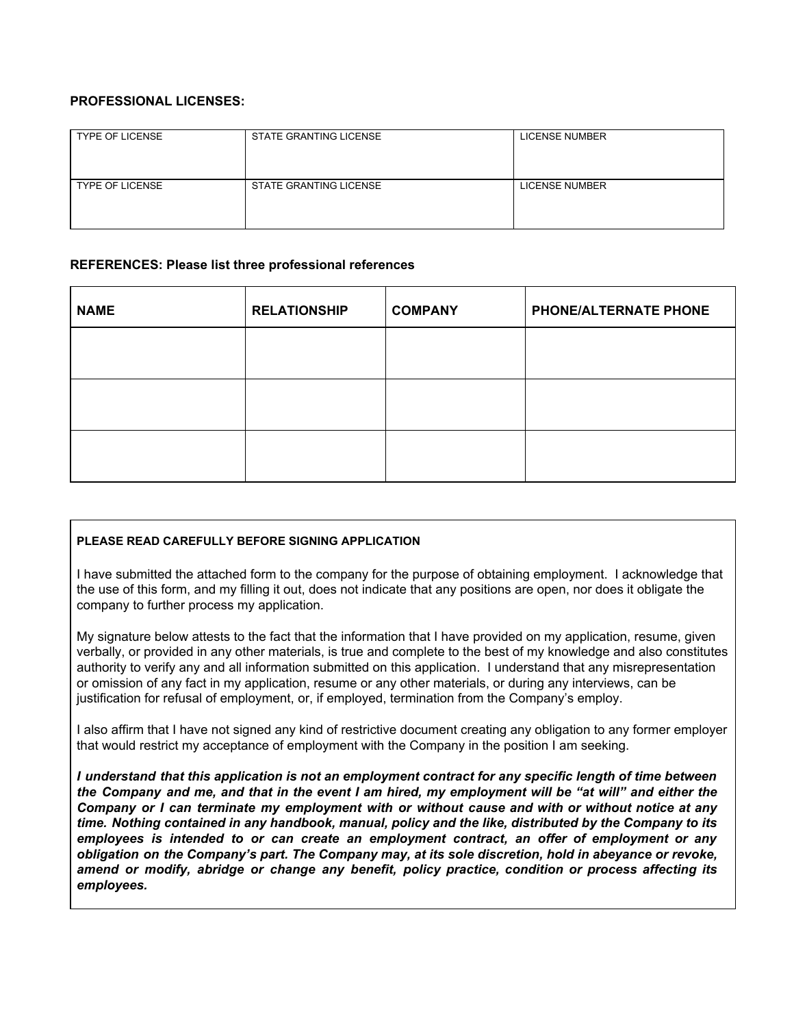#### **PROFESSIONAL LICENSES:**

| <b>TYPE OF LICENSE</b> | <b>STATE GRANTING LICENSE</b> | <b>LICENSE NUMBER</b> |
|------------------------|-------------------------------|-----------------------|
| <b>TYPE OF LICENSE</b> | STATE GRANTING LICENSE        | <b>LICENSE NUMBER</b> |

#### **REFERENCES: Please list three professional references**

| <b>NAME</b> | <b>RELATIONSHIP</b> | <b>COMPANY</b> | PHONE/ALTERNATE PHONE |
|-------------|---------------------|----------------|-----------------------|
|             |                     |                |                       |
|             |                     |                |                       |
|             |                     |                |                       |
|             |                     |                |                       |
|             |                     |                |                       |

#### **PLEASE READ CAREFULLY BEFORE SIGNING APPLICATION**

I have submitted the attached form to the company for the purpose of obtaining employment. I acknowledge that the use of this form, and my filling it out, does not indicate that any positions are open, nor does it obligate the company to further process my application.

My signature below attests to the fact that the information that I have provided on my application, resume, given verbally, or provided in any other materials, is true and complete to the best of my knowledge and also constitutes authority to verify any and all information submitted on this application. I understand that any misrepresentation or omission of any fact in my application, resume or any other materials, or during any interviews, can be justification for refusal of employment, or, if employed, termination from the Company's employ.

I also affirm that I have not signed any kind of restrictive document creating any obligation to any former employer that would restrict my acceptance of employment with the Company in the position I am seeking.

*I understand that this application is not an employment contract for any specific length of time between* the Company and me, and that in the event I am hired, my employment will be "at will" and either the *Company or I can terminate my employment with or without cause and with or without notice at any time. Nothing contained in any handbook, manual, policy and the like, distributed by the Company to its employees is intended to or can create an employment contract, an offer of employment or any obligation on the Company's part. The Company may, at its sole discretion, hold in abeyance or revoke, amend or modify, abridge or change any benefit, policy practice, condition or process affecting its employees.*